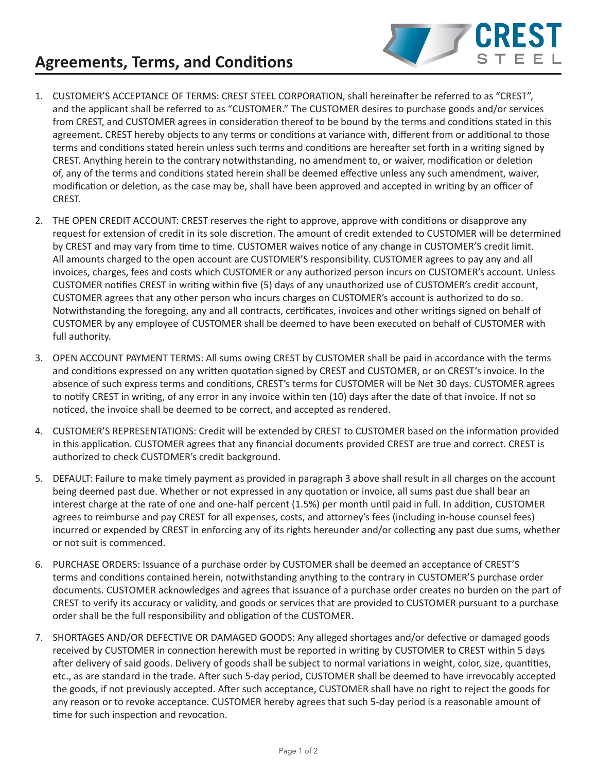## **Agreements, Terms, and Conditions**



- 1. CUSTOMER'S ACCEPTANCE OF TERMS: CREST STEEL CORPORATION, shall hereinafter be referred to as "CREST", and the applicant shall be referred to as "CUSTOMER." The CUSTOMER desires to purchase goods and/or services from CREST, and CUSTOMER agrees in consideration thereof to be bound by the terms and conditions stated in this agreement. CREST hereby objects to any terms or conditions at variance with, different from or additional to those terms and conditions stated herein unless such terms and conditions are hereafter set forth in a writing signed by CREST. Anything herein to the contrary notwithstanding, no amendment to, or waiver, modification or deletion of, any of the terms and conditions stated herein shall be deemed effective unless any such amendment, waiver, modification or deletion, as the case may be, shall have been approved and accepted in writing by an officer of CREST.
- 2. THE OPEN CREDIT ACCOUNT: CREST reserves the right to approve, approve with conditions or disapprove any request for extension of credit in its sole discretion. The amount of credit extended to CUSTOMER will be determined by CREST and may vary from time to time. CUSTOMER waives notice of any change in CUSTOMER'S credit limit. All amounts charged to the open account are CUSTOMER'S responsibility. CUSTOMER agrees to pay any and all invoices, charges, fees and costs which CUSTOMER or any authorized person incurs on CUSTOMER's account. Unless CUSTOMER notifies CREST in writing within five (5) days of any unauthorized use of CUSTOMER's credit account, CUSTOMER agrees that any other person who incurs charges on CUSTOMER's account is authorized to do so. Notwithstanding the foregoing, any and all contracts, certificates, invoices and other writings signed on behalf of CUSTOMER by any employee of CUSTOMER shall be deemed to have been executed on behalf of CUSTOMER with full authority.
- 3. OPEN ACCOUNT PAYMENT TERMS: All sums owing CREST by CUSTOMER shall be paid in accordance with the terms and conditions expressed on any written quotation signed by CREST and CUSTOMER, or on CREST's invoice. In the absence of such express terms and conditions, CREST's terms for CUSTOMER will be Net 30 days. CUSTOMER agrees to notify CREST in writing, of any error in any invoice within ten (10) days after the date of that invoice. If not so noticed, the invoice shall be deemed to be correct, and accepted as rendered.
- 4. CUSTOMER'S REPRESENTATIONS: Credit will be extended by CREST to CUSTOMER based on the information provided in this application. CUSTOMER agrees that any financial documents provided CREST are true and correct. CREST is authorized to check CUSTOMER's credit background.
- 5. DEFAULT: Failure to make timely payment as provided in paragraph 3 above shall result in all charges on the account being deemed past due. Whether or not expressed in any quotation or invoice, all sums past due shall bear an interest charge at the rate of one and one-half percent (1.5%) per month until paid in full. In addition, CUSTOMER agrees to reimburse and pay CREST for all expenses, costs, and attorney's fees (including in-house counsel fees) incurred or expended by CREST in enforcing any of its rights hereunder and/or collecting any past due sums, whether or not suit is commenced.
- 6. PURCHASE ORDERS: Issuance of a purchase order by CUSTOMER shall be deemed an acceptance of CREST'S terms and conditions contained herein, notwithstanding anything to the contrary in CUSTOMER'S purchase order documents. CUSTOMER acknowledges and agrees that issuance of a purchase order creates no burden on the part of CREST to verify its accuracy or validity, and goods or services that are provided to CUSTOMER pursuant to a purchase order shall be the full responsibility and obligation of the CUSTOMER.
- 7. SHORTAGES AND/OR DEFECTIVE OR DAMAGED GOODS: Any alleged shortages and/or defective or damaged goods received by CUSTOMER in connection herewith must be reported in writing by CUSTOMER to CREST within 5 days after delivery of said goods. Delivery of goods shall be subject to normal variations in weight, color, size, quantities, etc., as are standard in the trade. After such 5-day period, CUSTOMER shall be deemed to have irrevocably accepted the goods, if not previously accepted. After such acceptance, CUSTOMER shall have no right to reject the goods for any reason or to revoke acceptance. CUSTOMER hereby agrees that such 5-day period is a reasonable amount of time for such inspection and revocation.